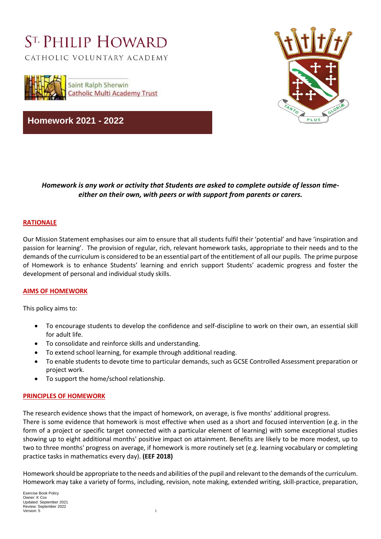# ST. PHILIP HOWARD

CATHOLIC VOLUNTARY ACADEMY



**Homework 2021 - 2022**



# *Homework is any work or activity that Students are asked to complete outside of lesson timeeither on their own, with peers or with support from parents or carers.*

#### **RATIONALE**

Our Mission Statement emphasises our aim to ensure that all students fulfil their 'potential' and have 'inspiration and passion for learning'. The provision of regular, rich, relevant homework tasks, appropriate to their needs and to the demands of the curriculum is considered to be an essential part of the entitlement of all our pupils. The prime purpose of Homework is to enhance Students' learning and enrich support Students' academic progress and foster the development of personal and individual study skills.

#### **AIMS OF HOMEWORK**

This policy aims to:

- To encourage students to develop the confidence and self-discipline to work on their own, an essential skill for adult life.
- To consolidate and reinforce skills and understanding.
- To extend school learning, for example through additional reading.
- To enable students to devote time to particular demands, such as GCSE Controlled Assessment preparation or project work.
- To support the home/school relationship.

#### **PRINCIPLES OF HOMEWORK**

The research evidence shows that the impact of homework, on average, is five months' additional progress. There is some evidence that homework is most effective when used as a short and focused intervention (e.g. in the form of a project or specific target connected with a particular element of learning) with some exceptional studies showing up to eight additional months' positive impact on attainment. Benefits are likely to be more modest, up to two to three months' progress on average, if homework is more routinely set (e.g. learning vocabulary or completing practice tasks in mathematics every day). **(EEF 2018)**

Homework should be appropriate to the needs and abilities of the pupil and relevant to the demands of the curriculum. Homework may take a variety of forms, including, revision, note making, extended writing, skill-practice, preparation,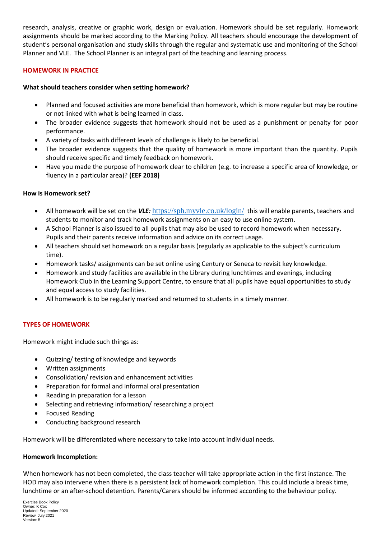research, analysis, creative or graphic work, design or evaluation. Homework should be set regularly. Homework assignments should be marked according to the Marking Policy. All teachers should encourage the development of student's personal organisation and study skills through the regular and systematic use and monitoring of the School Planner and VLE. The School Planner is an integral part of the teaching and learning process.

#### **HOMEWORK IN PRACTICE**

#### **What should teachers consider when setting homework?**

- Planned and focused activities are more beneficial than homework, which is more regular but may be routine or not linked with what is being learned in class.
- The broader evidence suggests that homework should not be used as a punishment or penalty for poor performance.
- A variety of tasks with different levels of challenge is likely to be beneficial.
- The broader evidence suggests that the quality of homework is more important than the quantity. Pupils should receive specific and timely feedback on homework.
- Have you made the purpose of homework clear to children (e.g. to increase a specific area of knowledge, or fluency in a particular area)? **(EEF 2018)**

#### **How is Homework set?**

- All homework will be set on the *VLE:* <https://sph.myvle.co.uk/login/> this will enable parents, teachers and students to monitor and track homework assignments on an easy to use online system.
- A School Planner is also issued to all pupils that may also be used to record homework when necessary. Pupils and their parents receive information and advice on its correct usage.
- All teachers should set homework on a regular basis (regularly as applicable to the subject's curriculum time).
- Homework tasks/ assignments can be set online using Century or Seneca to revisit key knowledge.
- Homework and study facilities are available in the Library during lunchtimes and evenings, including Homework Club in the Learning Support Centre, to ensure that all pupils have equal opportunities to study and equal access to study facilities.
- All homework is to be regularly marked and returned to students in a timely manner.

## **TYPES OF HOMEWORK**

Homework might include such things as:

- Quizzing/ testing of knowledge and keywords
- Written assignments
- Consolidation/ revision and enhancement activities
- Preparation for formal and informal oral presentation
- Reading in preparation for a lesson
- Selecting and retrieving information/ researching a project
- Focused Reading
- Conducting background research

Homework will be differentiated where necessary to take into account individual needs.

#### **Homework Incompletion:**

When homework has not been completed, the class teacher will take appropriate action in the first instance. The HOD may also intervene when there is a persistent lack of homework completion. This could include a break time, lunchtime or an after-school detention. Parents/Carers should be informed according to the behaviour policy.